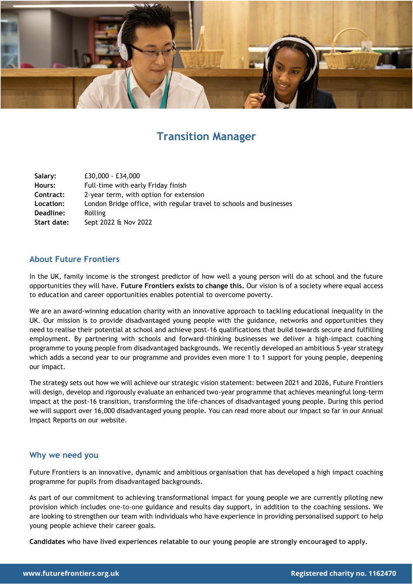

# **[Transition Manager](https://bit.ly/2YsmBgV)**

| Salary:     | £30,000 - £34,000                                                   |
|-------------|---------------------------------------------------------------------|
| Hours:      | Full-time with early Friday finish                                  |
| Contract:   | 2-year term, with option for extension                              |
| Location:   | London Bridge office, with regular travel to schools and businesses |
| Deadline:   | Rolling                                                             |
| Start date: | Sept 2022 & Nov 2022                                                |

# **About Future Frontiers**

In the UK, family income is the strongest predictor of how well a young person will do at school and the future opportunities they will have. **Future Frontiers exists to change this.** Our vision is of a society where equal access to education and career opportunities enables potential to overcome poverty.

We are an award-winning education charity with an innovative approach to tackling educational inequality in the UK. Our mission is to provide disadvantaged young people with the guidance, networks and opportunities they need to realise their potential at school and achieve post-16 qualifications that build towards secure and fulfilling employment. By partnering with schools and forward-thinking businesses we deliver a high-impact coaching programme to young people from disadvantaged backgrounds. We recently developed an ambitious 5-year strategy which adds a second year to our programme and provides even more 1 to 1 support for young people, deepening our impact.

The strategy sets out how we will achieve our strategic vision statement: between 2021 and 2026, Future Frontiers will design, develop and rigorously evaluate an enhanced two-year programme that achieves meaningful long-term impact at the post-16 transition, transforming the life-chances of disadvantaged young people. During this period we will support over 16,000 disadvantaged young people. You can read more about our impact so far in our Annual Impact Reports on our website.

# **Why we need you**

Future Frontiers is an innovative, dynamic and ambitious organisation that has developed a high impact coaching programme for pupils from disadvantaged backgrounds.

As part of our commitment to achieving transformational impact for young people we are currently piloting new provision which includes one-to-one guidance and results day support, in addition to the coaching sessions. We are looking to strengthen our team with individuals who have experience in providing personalised support to help young people achieve their career goals.

**Candidates who have lived experiences relatable to our young people are strongly encouraged to apply.**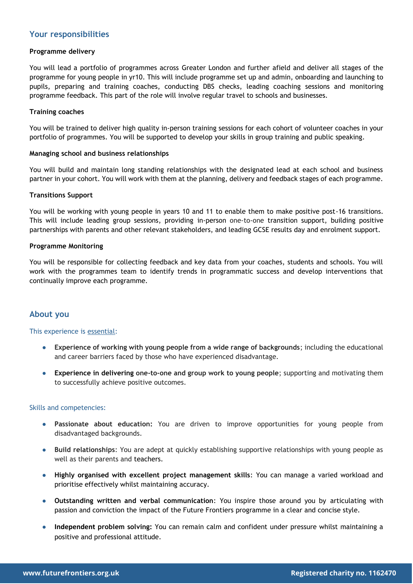### **Your responsibilities**

#### **Programme delivery**

You will lead a portfolio of programmes across Greater London and further afield and deliver all stages of the programme for young people in yr10. This will include programme set up and admin, onboarding and launching to pupils, preparing and training coaches, conducting DBS checks, leading coaching sessions and monitoring programme feedback. This part of the role will involve regular travel to schools and businesses.

### **Training coaches**

You will be trained to deliver high quality in-person training sessions for each cohort of volunteer coaches in your portfolio of programmes. You will be supported to develop your skills in group training and public speaking.

#### **Managing school and business relationships**

You will build and maintain long standing relationships with the designated lead at each school and business partner in your cohort. You will work with them at the planning, delivery and feedback stages of each programme.

#### **Transitions Support**

You will be working with young people in years 10 and 11 to enable them to make positive post-16 transitions. This will include leading group sessions, providing in-person one-to-one transition support, building positive partnerships with parents and other relevant stakeholders, and leading GCSE results day and enrolment support.

#### **Programme Monitoring**

You will be responsible for collecting feedback and key data from your coaches, students and schools. You will work with the programmes team to identify trends in programmatic success and develop interventions that continually improve each programme.

# **About you**

#### This experience is essential:

- **Experience of working with young people from a wide range of backgrounds**; including the educational and career barriers faced by those who have experienced disadvantage.
- **Experience in delivering one-to-one and group work to young people**; supporting and motivating them to successfully achieve positive outcomes.

#### Skills and competencies:

- **Passionate about education:** You are driven to improve opportunities for young people from disadvantaged backgrounds.
- **Build relationships**: You are adept at quickly establishing supportive relationships with young people as well as their parents and teachers.
- **Highly organised with excellent project management skills**: You can manage a varied workload and prioritise effectively whilst maintaining accuracy.
- **Outstanding written and verbal communication**: You inspire those around you by articulating with passion and conviction the impact of the Future Frontiers programme in a clear and concise style.
- **Independent problem solving:** You can remain calm and confident under pressure whilst maintaining a positive and professional attitude.